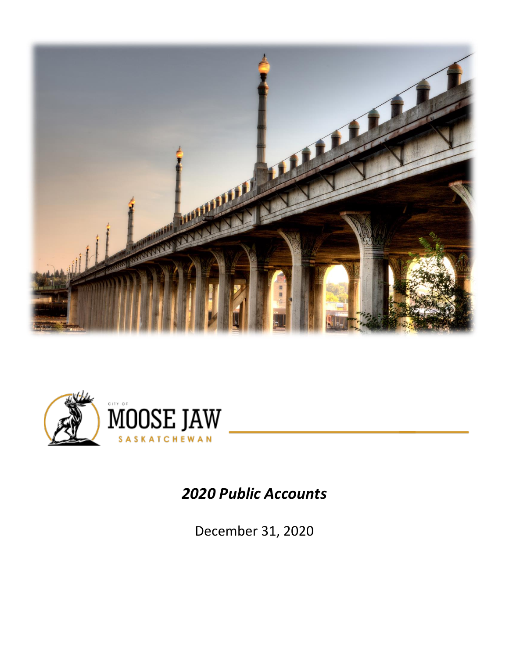



## *2020 Public Accounts*

December 31, 2020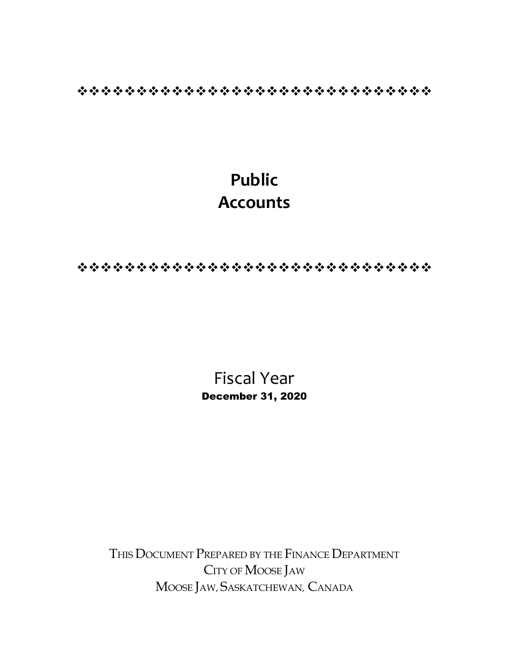❖❖❖❖❖❖❖❖❖❖❖❖❖❖❖❖❖❖❖❖❖❖❖❖❖❖❖❖❖❖

# **Public Accounts**

❖❖❖❖❖❖❖❖❖❖❖❖❖❖❖❖❖❖❖❖❖❖❖❖❖❖❖❖❖❖

Fiscal Year December 31, 2020

THIS DOCUMENT PREPARED BY THE FINANCE DEPARTMENT CITY OF MOOSE JAW MOOSE JAW, SASKATCHEWAN, CANADA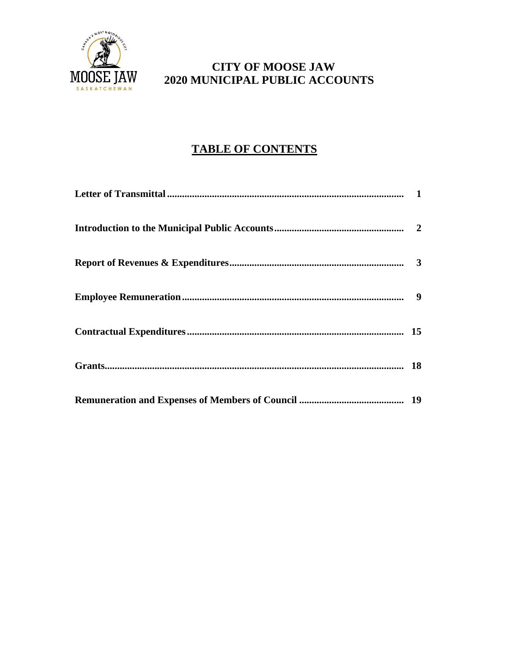

## **CITY OF MOOSE JAW**<br>MOOSE JAW 2020 MUNICIPAL PUBLIC ACCO **2020 MUNICIPAL PUBLIC ACCOUNTS**

## **TABLE OF CONTENTS**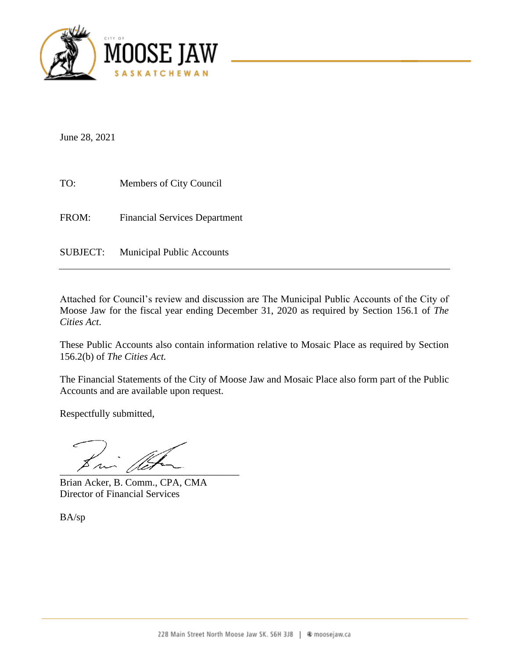

June 28, 2021

TO: Members of City Council FROM: Financial Services Department

SUBJECT: Municipal Public Accounts

Attached for Council's review and discussion are The Municipal Public Accounts of the City of Moose Jaw for the fiscal year ending December 31, 2020 as required by Section 156.1 of *The Cities Act*.

These Public Accounts also contain information relative to Mosaic Place as required by Section 156.2(b) of *The Cities Act.*

The Financial Statements of the City of Moose Jaw and Mosaic Place also form part of the Public Accounts and are available upon request.

Respectfully submitted,

 $\frac{1}{2}$ 

Brian Acker, B. Comm., CPA, CMA Director of Financial Services

BA/sp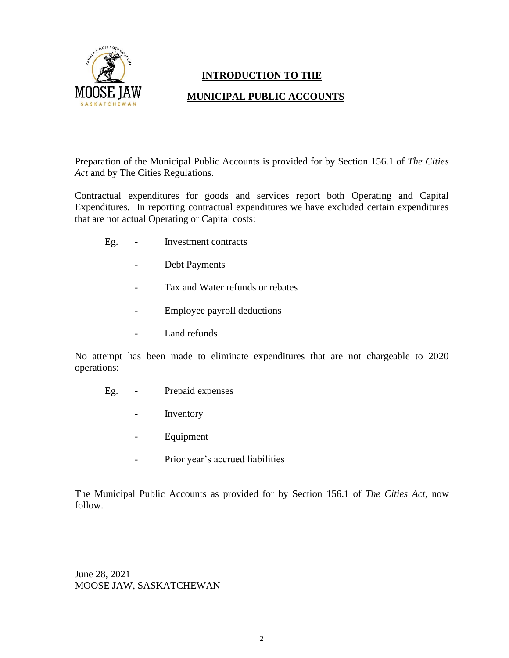

## **INTRODUCTION TO THE**

## **MUNICIPAL PUBLIC ACCOUNTS**

Preparation of the Municipal Public Accounts is provided for by Section 156.1 of *The Cities Act* and by The Cities Regulations.

Contractual expenditures for goods and services report both Operating and Capital Expenditures. In reporting contractual expenditures we have excluded certain expenditures that are not actual Operating or Capital costs:

- Eg. Investment contracts
	- Debt Payments
	- Tax and Water refunds or rebates
	- Employee payroll deductions
	- Land refunds

No attempt has been made to eliminate expenditures that are not chargeable to 2020 operations:

- Eg. Prepaid expenses
	- Inventory
	- Equipment
	- Prior year's accrued liabilities

The Municipal Public Accounts as provided for by Section 156.1 of *The Cities Act,* now follow.

June 28, 2021 MOOSE JAW, SASKATCHEWAN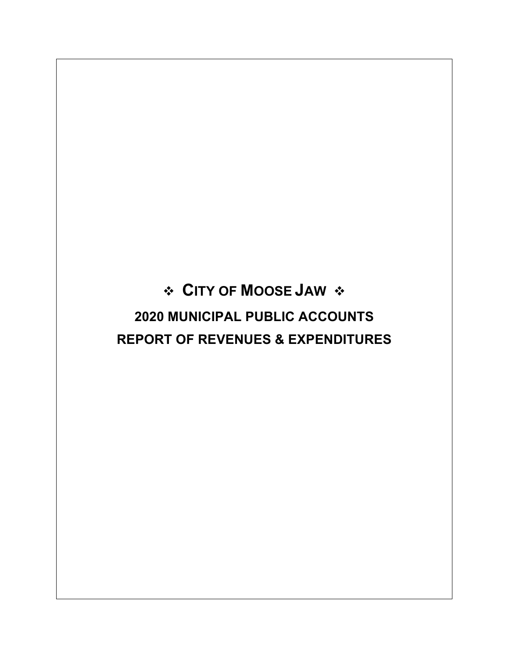# **CITY OF MOOSE JAW 2020 MUNICIPAL PUBLIC ACCOUNTS REPORT OF REVENUES & EXPENDITURES**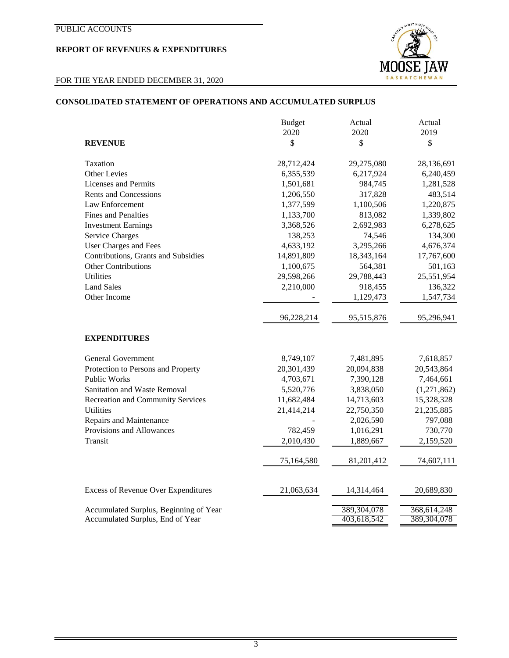## **REPORT OF REVENUES & EXPENDITURES**

## FOR THE YEAR ENDED DECEMBER 31, 2020

## **CONSOLIDATED STATEMENT OF OPERATIONS AND ACCUMULATED SURPLUS**

|                                                                            | <b>Budget</b> | Actual                     | Actual                     |
|----------------------------------------------------------------------------|---------------|----------------------------|----------------------------|
|                                                                            | 2020          | 2020                       | 2019                       |
| <b>REVENUE</b>                                                             | \$            | \$                         | \$                         |
| Taxation                                                                   | 28,712,424    | 29,275,080                 | 28,136,691                 |
| <b>Other Levies</b>                                                        | 6,355,539     | 6,217,924                  | 6,240,459                  |
| Licenses and Permits                                                       | 1,501,681     | 984,745                    | 1,281,528                  |
| <b>Rents and Concessions</b>                                               | 1,206,550     | 317,828                    | 483,514                    |
| Law Enforcement                                                            | 1,377,599     | 1,100,506                  | 1,220,875                  |
| <b>Fines and Penalties</b>                                                 | 1,133,700     | 813,082                    | 1,339,802                  |
| <b>Investment Earnings</b>                                                 | 3,368,526     | 2,692,983                  | 6,278,625                  |
| <b>Service Charges</b>                                                     | 138,253       | 74,546                     | 134,300                    |
| User Charges and Fees                                                      | 4,633,192     | 3,295,266                  | 4,676,374                  |
| Contributions, Grants and Subsidies                                        | 14,891,809    | 18,343,164                 | 17,767,600                 |
| <b>Other Contributions</b>                                                 | 1,100,675     | 564,381                    | 501,163                    |
| <b>Utilities</b>                                                           | 29,598,266    | 29,788,443                 | 25,551,954                 |
| <b>Land Sales</b>                                                          | 2,210,000     | 918,455                    | 136,322                    |
| Other Income                                                               |               | 1,129,473                  | 1,547,734                  |
|                                                                            | 96,228,214    | 95,515,876                 | 95,296,941                 |
| <b>EXPENDITURES</b>                                                        |               |                            |                            |
| <b>General Government</b>                                                  | 8,749,107     | 7,481,895                  | 7,618,857                  |
| Protection to Persons and Property                                         | 20,301,439    | 20,094,838                 | 20,543,864                 |
| <b>Public Works</b>                                                        | 4,703,671     | 7,390,128                  | 7,464,661                  |
| Sanitation and Waste Removal                                               | 5,520,776     | 3,838,050                  | (1,271,862)                |
| <b>Recreation and Community Services</b>                                   | 11,682,484    | 14,713,603                 | 15,328,328                 |
| <b>Utilities</b>                                                           | 21,414,214    | 22,750,350                 | 21,235,885                 |
| Repairs and Maintenance                                                    |               | 2,026,590                  | 797,088                    |
| Provisions and Allowances                                                  | 782,459       | 1,016,291                  | 730,770                    |
| Transit                                                                    | 2,010,430     | 1,889,667                  | 2,159,520                  |
|                                                                            | 75,164,580    | 81,201,412                 | 74,607,111                 |
| <b>Excess of Revenue Over Expenditures</b>                                 | 21,063,634    | 14,314,464                 | 20,689,830                 |
|                                                                            |               |                            |                            |
| Accumulated Surplus, Beginning of Year<br>Accumulated Surplus, End of Year |               | 389,304,078<br>403,618,542 | 368,614,248<br>389,304,078 |
|                                                                            |               |                            |                            |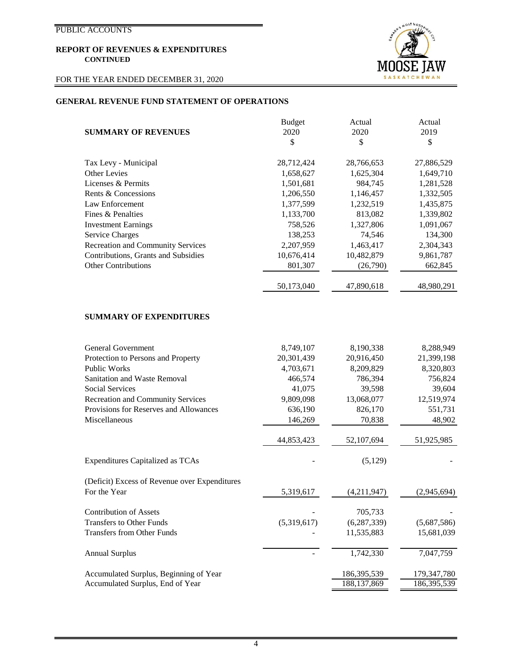## FOR THE YEAR ENDED DECEMBER 31, 2020



## **GENERAL REVENUE FUND STATEMENT OF OPERATIONS**

|                                          | <b>Budget</b> | Actual     | Actual     |
|------------------------------------------|---------------|------------|------------|
| <b>SUMMARY OF REVENUES</b>               | 2020          | 2020       | 2019       |
|                                          | \$            | \$         | \$         |
| Tax Levy - Municipal                     | 28,712,424    | 28,766,653 | 27,886,529 |
| Other Levies                             | 1,658,627     | 1,625,304  | 1,649,710  |
| Licenses & Permits                       | 1,501,681     | 984,745    | 1,281,528  |
| Rents & Concessions                      | 1,206,550     | 1,146,457  | 1,332,505  |
| Law Enforcement                          | 1,377,599     | 1,232,519  | 1,435,875  |
| Fines & Penalties                        | 1,133,700     | 813,082    | 1,339,802  |
| <b>Investment Earnings</b>               | 758,526       | 1,327,806  | 1,091,067  |
| <b>Service Charges</b>                   | 138,253       | 74,546     | 134,300    |
| <b>Recreation and Community Services</b> | 2,207,959     | 1,463,417  | 2,304,343  |
| Contributions, Grants and Subsidies      | 10,676,414    | 10,482,879 | 9,861,787  |
| <b>Other Contributions</b>               | 801,307       | (26,790)   | 662,845    |
|                                          |               |            |            |
|                                          | 50,173,040    | 47,890,618 | 48,980,291 |

## **SUMMARY OF EXPENDITURES**

| General Government                            | 8,749,107   | 8,190,338     | 8,288,949   |
|-----------------------------------------------|-------------|---------------|-------------|
| Protection to Persons and Property            | 20,301,439  | 20,916,450    | 21,399,198  |
| <b>Public Works</b>                           | 4,703,671   | 8,209,829     | 8,320,803   |
| Sanitation and Waste Removal                  | 466,574     | 786,394       | 756,824     |
| <b>Social Services</b>                        | 41,075      | 39,598        | 39,604      |
| <b>Recreation and Community Services</b>      | 9,809,098   | 13,068,077    | 12,519,974  |
| Provisions for Reserves and Allowances        | 636,190     | 826,170       | 551,731     |
| Miscellaneous                                 | 146,269     | 70,838        | 48,902      |
|                                               | 44,853,423  | 52,107,694    | 51,925,985  |
| <b>Expenditures Capitalized as TCAs</b>       |             | (5,129)       |             |
| (Deficit) Excess of Revenue over Expenditures |             |               |             |
| For the Year                                  | 5,319,617   | (4,211,947)   | (2,945,694) |
| <b>Contribution of Assets</b>                 |             | 705,733       |             |
| <b>Transfers to Other Funds</b>               | (5,319,617) | (6, 287, 339) | (5,687,586) |
| <b>Transfers from Other Funds</b>             |             | 11,535,883    | 15,681,039  |
| <b>Annual Surplus</b>                         |             | 1,742,330     | 7,047,759   |
| Accumulated Surplus, Beginning of Year        |             | 186,395,539   | 179,347,780 |
| Accumulated Surplus, End of Year              |             | 188, 137, 869 | 186,395,539 |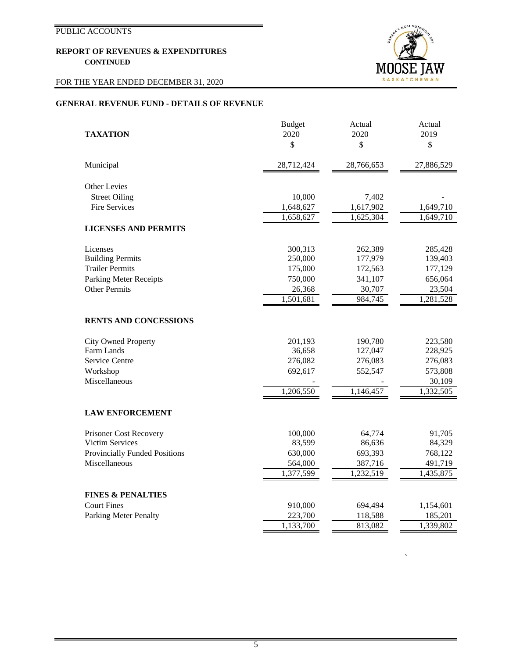## FOR THE YEAR ENDED DECEMBER 31, 2020



`

## **GENERAL REVENUE FUND - DETAILS OF REVENUE**

|                                      | <b>Budget</b> | Actual     | Actual     |
|--------------------------------------|---------------|------------|------------|
| <b>TAXATION</b>                      | 2020          | 2020       | 2019       |
|                                      | $\mathbb{S}$  | \$         | \$         |
| Municipal                            | 28,712,424    | 28,766,653 | 27,886,529 |
| <b>Other Levies</b>                  |               |            |            |
| <b>Street Oiling</b>                 | 10,000        | 7,402      |            |
| <b>Fire Services</b>                 | 1,648,627     | 1,617,902  | 1,649,710  |
|                                      | 1,658,627     | 1,625,304  | 1,649,710  |
| <b>LICENSES AND PERMITS</b>          |               |            |            |
| Licenses                             | 300,313       | 262,389    | 285,428    |
| <b>Building Permits</b>              | 250,000       | 177,979    | 139,403    |
| <b>Trailer Permits</b>               | 175,000       | 172,563    | 177,129    |
| <b>Parking Meter Receipts</b>        | 750,000       | 341,107    | 656,064    |
| <b>Other Permits</b>                 | 26,368        | 30,707     | 23,504     |
|                                      | 1,501,681     | 984,745    | 1,281,528  |
| <b>RENTS AND CONCESSIONS</b>         |               |            |            |
| <b>City Owned Property</b>           | 201,193       | 190,780    | 223,580    |
| Farm Lands                           | 36,658        | 127,047    | 228,925    |
| Service Centre                       | 276,082       | 276,083    | 276,083    |
| Workshop                             | 692,617       | 552,547    | 573,808    |
| Miscellaneous                        |               |            | 30,109     |
|                                      | 1,206,550     | 1,146,457  | 1,332,505  |
| <b>LAW ENFORCEMENT</b>               |               |            |            |
| Prisoner Cost Recovery               | 100,000       | 64,774     | 91,705     |
| <b>Victim Services</b>               | 83,599        | 86,636     | 84,329     |
| <b>Provincially Funded Positions</b> | 630,000       | 693,393    | 768,122    |
| Miscellaneous                        | 564,000       | 387,716    | 491,719    |
|                                      | 1,377,599     | 1,232,519  | 1,435,875  |
| <b>FINES &amp; PENALTIES</b>         |               |            |            |
| <b>Court Fines</b>                   | 910,000       | 694,494    | 1,154,601  |
| <b>Parking Meter Penalty</b>         | 223,700       | 118,588    | 185,201    |
|                                      | 1,133,700     | 813,082    | 1,339,802  |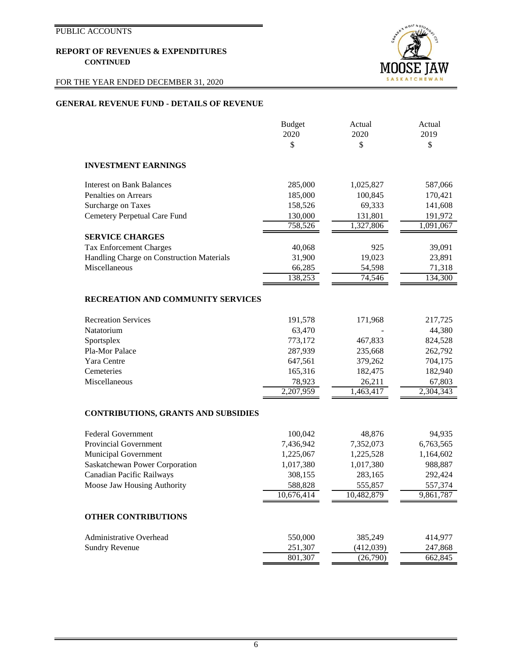## FOR THE YEAR ENDED DECEMBER 31, 2020



## **GENERAL REVENUE FUND - DETAILS OF REVENUE**

|                                            | <b>Budget</b>      | Actual                | Actual             |
|--------------------------------------------|--------------------|-----------------------|--------------------|
|                                            | 2020               | 2020                  | 2019               |
|                                            | \$                 | \$                    | \$                 |
| <b>INVESTMENT EARNINGS</b>                 |                    |                       |                    |
| <b>Interest on Bank Balances</b>           | 285,000            | 1,025,827             | 587,066            |
| Penalties on Arrears                       | 185,000            | 100,845               | 170,421            |
| Surcharge on Taxes                         | 158,526            | 69,333                | 141,608            |
| Cemetery Perpetual Care Fund               | 130,000            | 131,801               | 191,972            |
|                                            | 758,526            | 1,327,806             | 1,091,067          |
| <b>SERVICE CHARGES</b>                     |                    |                       |                    |
| <b>Tax Enforcement Charges</b>             | 40,068             | 925                   | 39,091             |
| Handling Charge on Construction Materials  | 31,900             | 19,023                | 23,891             |
| Miscellaneous                              | 66,285             | 54,598                | 71,318             |
|                                            | 138,253            | 74,546                | 134,300            |
| <b>RECREATION AND COMMUNITY SERVICES</b>   |                    |                       |                    |
| <b>Recreation Services</b>                 | 191,578            | 171,968               | 217,725            |
| Natatorium                                 | 63,470             |                       | 44,380             |
| Sportsplex                                 | 773,172            | 467,833               | 824,528            |
| Pla-Mor Palace                             | 287,939            | 235,668               | 262,792            |
| Yara Centre                                | 647,561            | 379,262               | 704,175            |
| Cemeteries                                 | 165,316            | 182,475               | 182,940            |
| Miscellaneous                              | 78,923             | 26,211                | 67,803             |
|                                            | 2,207,959          | 1,463,417             | 2,304,343          |
| <b>CONTRIBUTIONS, GRANTS AND SUBSIDIES</b> |                    |                       |                    |
|                                            |                    |                       |                    |
| <b>Federal Government</b>                  | 100,042            | 48,876                | 94,935             |
| <b>Provincial Government</b>               | 7,436,942          | 7,352,073             | 6,763,565          |
| Municipal Government                       | 1,225,067          | 1,225,528             | 1,164,602          |
| Saskatchewan Power Corporation             | 1,017,380          | 1,017,380             | 988,887            |
| Canadian Pacific Railways                  | 308,155<br>588,828 | 283,165               | 292,424<br>557,374 |
| Moose Jaw Housing Authority                | 10,676,414         | 555,857<br>10,482,879 | 9,861,787          |
|                                            |                    |                       |                    |
| <b>OTHER CONTRIBUTIONS</b>                 |                    |                       |                    |
| Administrative Overhead                    | 550,000            | 385,249               | 414,977            |
| <b>Sundry Revenue</b>                      | 251,307            | (412,039)             | 247,868            |
|                                            | 801,307            | (26,790)              | 662,845            |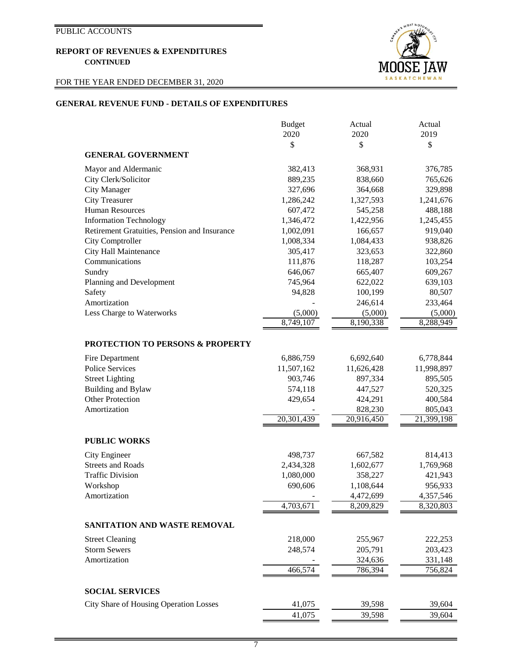## FOR THE YEAR ENDED DECEMBER 31, 2020



## **GENERAL REVENUE FUND - DETAILS OF EXPENDITURES**

|                                                     | <b>Budget</b> | Actual                 | Actual                 |
|-----------------------------------------------------|---------------|------------------------|------------------------|
|                                                     | 2020          | 2020                   | 2019                   |
|                                                     | \$            | \$                     | \$                     |
| <b>GENERAL GOVERNMENT</b>                           |               |                        |                        |
| Mayor and Aldermanic                                | 382,413       | 368,931                | 376,785                |
| City Clerk/Solicitor                                | 889,235       | 838,660                | 765,626                |
| <b>City Manager</b>                                 | 327,696       | 364,668                | 329,898                |
| <b>City Treasurer</b>                               | 1,286,242     | 1,327,593              | 1,241,676              |
| <b>Human Resources</b>                              | 607,472       | 545,258                | 488,188                |
| <b>Information Technology</b>                       | 1,346,472     | 1,422,956              | 1,245,455              |
| Retirement Gratuities, Pension and Insurance        | 1,002,091     | 166,657                | 919,040                |
| City Comptroller                                    | 1,008,334     | 1,084,433              | 938,826                |
| City Hall Maintenance                               | 305,417       | 323,653                | 322,860                |
| Communications                                      | 111,876       | 118,287                | 103,254                |
| Sundry                                              | 646,067       | 665,407                | 609,267                |
| Planning and Development                            | 745,964       | 622,022                | 639,103                |
| Safety                                              | 94,828        | 100,199                | 80,507                 |
| Amortization                                        |               | 246,614                | 233,464                |
| Less Charge to Waterworks                           | (5,000)       | (5,000)                | (5,000)                |
|                                                     | 8,749,107     | 8,190,338              | 8,288,949              |
|                                                     |               |                        |                        |
| <b>PROTECTION TO PERSONS &amp; PROPERTY</b>         |               |                        |                        |
| Fire Department                                     | 6,886,759     | 6,692,640              | 6,778,844              |
| <b>Police Services</b>                              | 11,507,162    | 11,626,428             | 11,998,897             |
| <b>Street Lighting</b>                              | 903,746       | 897,334                | 895,505                |
| Building and Bylaw                                  | 574,118       | 447,527                | 520,325                |
| <b>Other Protection</b>                             | 429,654       | 424,291                | 400,584                |
| Amortization                                        |               | 828,230                | 805,043                |
|                                                     | 20,301,439    | 20,916,450             | 21,399,198             |
| <b>PUBLIC WORKS</b>                                 |               |                        |                        |
|                                                     |               |                        |                        |
| City Engineer                                       | 498,737       | 667,582                | 814,413                |
| <b>Streets and Roads</b><br><b>Traffic Division</b> | 2,434,328     | 1,602,677              | 1,769,968              |
|                                                     | 1,080,000     | 358,227                | 421,943                |
| Workshop                                            | 690,606       | 1,108,644              | 956,933                |
| Amortization                                        | 4,703,671     | 4,472,699<br>8,209,829 | 4,357,546<br>8,320,803 |
|                                                     |               |                        |                        |
| SANITATION AND WASTE REMOVAL                        |               |                        |                        |
| <b>Street Cleaning</b>                              | 218,000       | 255,967                | 222,253                |
| <b>Storm Sewers</b>                                 | 248,574       | 205,791                | 203,423                |
| Amortization                                        |               | 324,636                | 331,148                |
|                                                     | 466,574       | 786,394                | 756,824                |
|                                                     |               |                        |                        |
| <b>SOCIAL SERVICES</b>                              |               |                        |                        |
| City Share of Housing Operation Losses              | 41,075        | 39,598                 | 39,604                 |
|                                                     | 41,075        | 39,598                 | 39,604                 |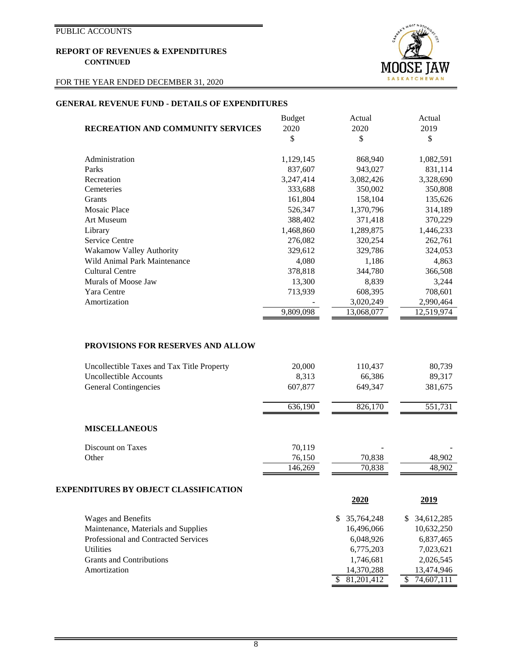## FOR THE YEAR ENDED DECEMBER 31, 2020



 $\frac{$8,01,201,412}{\$}$   $\frac{$74,607,111}{\$}$ 

### **GENERAL REVENUE FUND - DETAILS OF EXPENDITURES**

|                                          | <b>Budget</b> | Actual     | Actual     |
|------------------------------------------|---------------|------------|------------|
| <b>RECREATION AND COMMUNITY SERVICES</b> | 2020          | 2020       | 2019       |
|                                          | \$            | \$         | \$         |
|                                          |               |            |            |
| Administration                           | 1,129,145     | 868,940    | 1,082,591  |
| Parks                                    | 837,607       | 943,027    | 831,114    |
| Recreation                               | 3,247,414     | 3,082,426  | 3,328,690  |
| Cemeteries                               | 333,688       | 350,002    | 350,808    |
| Grants                                   | 161,804       | 158,104    | 135,626    |
| <b>Mosaic Place</b>                      | 526,347       | 1,370,796  | 314,189    |
| <b>Art Museum</b>                        | 388,402       | 371,418    | 370,229    |
| Library                                  | 1,468,860     | 1,289,875  | 1,446,233  |
| <b>Service Centre</b>                    | 276,082       | 320,254    | 262,761    |
| Wakamow Valley Authority                 | 329,612       | 329,786    | 324,053    |
| Wild Animal Park Maintenance             | 4,080         | 1,186      | 4,863      |
| <b>Cultural Centre</b>                   | 378,818       | 344,780    | 366,508    |
| Murals of Moose Jaw                      | 13,300        | 8,839      | 3,244      |
| Yara Centre                              | 713,939       | 608,395    | 708,601    |
| Amortization                             |               | 3,020,249  | 2,990,464  |
|                                          | 9,809,098     | 13,068,077 | 12,519,974 |

## **PROVISIONS FOR RESERVES AND ALLOW**

| Uncollectible Taxes and Tax Title Property<br>Uncollectible Accounts | 20,000<br>8,313 | 110,437<br>66,386           | 80,739<br>89,317            |
|----------------------------------------------------------------------|-----------------|-----------------------------|-----------------------------|
| <b>General Contingencies</b>                                         | 607,877         | 649,347                     | 381,675                     |
|                                                                      |                 |                             |                             |
|                                                                      | 636,190         | 826,170                     | 551,731                     |
| <b>MISCELLANEOUS</b>                                                 |                 |                             |                             |
| <b>Discount on Taxes</b>                                             | 70,119          |                             |                             |
| Other                                                                | 76,150          | 70,838                      | 48,902                      |
|                                                                      | 146,269         | 70,838                      | 48,902                      |
| <b>EXPENDITURES BY OBJECT CLASSIFICATION</b>                         |                 |                             |                             |
|                                                                      |                 | 2020                        | <u>2019</u>                 |
| <b>Wages and Benefits</b>                                            |                 | 35,764,248<br><sup>\$</sup> | 34,612,285<br><sup>\$</sup> |
| Maintenance, Materials and Supplies                                  |                 | 16,496,066                  | 10,632,250                  |
| Professional and Contracted Services                                 |                 | 6,048,926                   | 6,837,465                   |
| <b>Utilities</b>                                                     |                 | 6,775,203                   | 7,023,621                   |
| <b>Grants and Contributions</b>                                      |                 | 1,746,681                   | 2,026,545                   |
| Amortization                                                         |                 | 14,370,288                  | 13,474,946                  |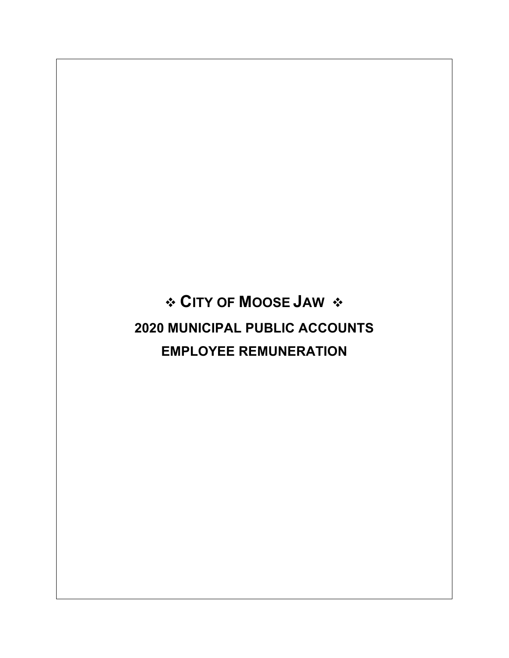**CITY OF MOOSE JAW 2020 MUNICIPAL PUBLIC ACCOUNTS EMPLOYEE REMUNERATION**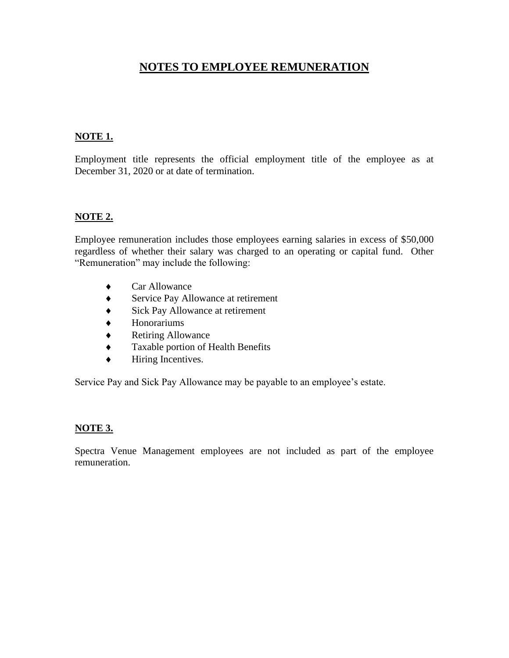## **NOTES TO EMPLOYEE REMUNERATION**

## **NOTE 1.**

Employment title represents the official employment title of the employee as at December 31, 2020 or at date of termination.

## **NOTE 2.**

Employee remuneration includes those employees earning salaries in excess of \$50,000 regardless of whether their salary was charged to an operating or capital fund. Other "Remuneration" may include the following:

- Car Allowance
- ◆ Service Pay Allowance at retirement
- ◆ Sick Pay Allowance at retirement
- Honorariums
- ◆ Retiring Allowance
- Taxable portion of Health Benefits
- $\bullet$  Hiring Incentives.

Service Pay and Sick Pay Allowance may be payable to an employee's estate.

## **NOTE 3.**

Spectra Venue Management employees are not included as part of the employee remuneration.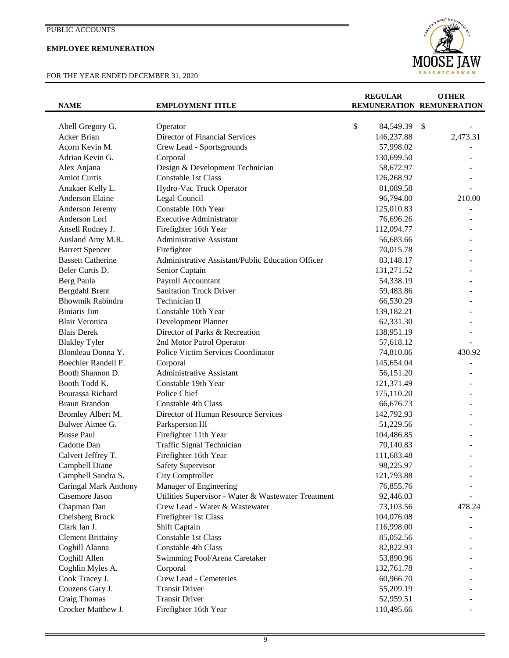## **EMPLOYEE REMUNERATION**

## FOR THE YEAR ENDED DECEMBER 31, 2020



| <b>NAME</b>              | <b>EMPLOYMENT TITLE</b>                             | <b>REGULAR</b><br>REMUNERATION REMUNERATION | <b>OTHER</b>              |
|--------------------------|-----------------------------------------------------|---------------------------------------------|---------------------------|
|                          |                                                     |                                             |                           |
| Abell Gregory G.         | Operator                                            | \$<br>84,549.39                             | $\boldsymbol{\mathsf{S}}$ |
| Acker Brian              | Director of Financial Services                      | 146,237.88                                  | 2,473.31                  |
| Acorn Kevin M.           | Crew Lead - Sportsgrounds                           | 57,998.02                                   |                           |
| Adrian Kevin G.          | Corporal                                            | 130,699.50                                  |                           |
| Alex Anjana              | Design & Development Technician                     | 58,672.97                                   |                           |
| <b>Amiot Curtis</b>      | Constable 1st Class                                 | 126,268.92                                  |                           |
| Anakaer Kelly L.         | Hydro-Vac Truck Operator                            | 81,089.58                                   |                           |
| Anderson Elaine          | Legal Council                                       | 96,794.80                                   | 210.00                    |
| Anderson Jeremy          | Constable 10th Year                                 | 125,010.83                                  |                           |
| Anderson Lori            | <b>Executive Administrator</b>                      | 76,696.26                                   |                           |
| Ansell Rodney J.         | Firefighter 16th Year                               | 112,094.77                                  |                           |
| Ausland Amy M.R.         | <b>Administrative Assistant</b>                     | 56,683.66                                   |                           |
| <b>Barrett Spencer</b>   | Firefighter                                         | 70,015.78                                   |                           |
| <b>Bassett Catherine</b> | Administrative Assistant/Public Education Officer   | 83,148.17                                   |                           |
| Beler Curtis D.          | Senior Captain                                      | 131,271.52                                  |                           |
| Berg Paula               | Payroll Accountant                                  | 54,338.19                                   |                           |
| Bergdahl Brent           | <b>Sanitation Truck Driver</b>                      | 59,483.86                                   |                           |
| Bhowmik Rabindra         | Technician II                                       | 66,530.29                                   |                           |
| <b>Biniaris Jim</b>      | Constable 10th Year                                 | 139,182.21                                  |                           |
| <b>Blair Veronica</b>    | Development Planner                                 | 62,331.30                                   |                           |
| <b>Blais Derek</b>       | Director of Parks & Recreation                      | 138,951.19                                  |                           |
| <b>Blakley Tyler</b>     | 2nd Motor Patrol Operator                           | 57,618.12                                   |                           |
| Blondeau Donna Y.        | Police Victim Services Coordinator                  | 74,810.86                                   | 430.92                    |
| Boechler Randell F.      | Corporal                                            | 145,654.04                                  |                           |
| Booth Shannon D.         | <b>Administrative Assistant</b>                     | 56,151.20                                   |                           |
| Booth Todd K.            | Constable 19th Year                                 | 121,371.49                                  |                           |
| Bourassa Richard         | Police Chief                                        | 175,110.20                                  |                           |
| <b>Braun Brandon</b>     | <b>Constable 4th Class</b>                          | 66,676.73                                   |                           |
| Bromley Albert M.        | Director of Human Resource Services                 | 142,792.93                                  |                           |
| Bulwer Aimee G.          | Parksperson III                                     | 51,229.56                                   |                           |
| <b>Busse Paul</b>        | Firefighter 11th Year                               | 104,486.85                                  |                           |
| Cadotte Dan              | Traffic Signal Technician                           | 70,140.83                                   |                           |
| Calvert Jeffrey T.       | Firefighter 16th Year                               | 111,683.48                                  |                           |
| Campbell Diane           | <b>Safety Supervisor</b>                            | 98,225.97                                   |                           |
| Campbell Sandra S.       | City Comptroller                                    | 121,793.88                                  |                           |
| Caringal Mark Anthony    | Manager of Engineering                              | 76,855.76                                   |                           |
| Casemore Jason           | Utilities Supervisor - Water & Wastewater Treatment | 92,446.03                                   |                           |
| Chapman Dan              | Crew Lead - Water & Wastewater                      | 73,103.56                                   | 478.24                    |
| Chelsberg Brock          | Firefighter 1st Class                               | 104,076.08                                  |                           |
| Clark Ian J.             | Shift Captain                                       | 116,998.00                                  |                           |
| <b>Clement Brittainy</b> | Constable 1st Class                                 | 85,052.56                                   |                           |
| Coghill Alanna           | Constable 4th Class                                 | 82,822.93                                   |                           |
| Coghill Allen            | Swimming Pool/Arena Caretaker                       | 53,890.96                                   |                           |
| Coghlin Myles A.         | Corporal                                            | 132,761.78                                  |                           |
| Cook Tracey J.           | Crew Lead - Cemeteries                              | 60,966.70                                   |                           |
| Couzens Gary J.          | <b>Transit Driver</b>                               | 55,209.19                                   |                           |
| Craig Thomas             | <b>Transit Driver</b>                               | 52,959.51                                   |                           |
| Crocker Matthew J.       | Firefighter 16th Year                               | 110,495.66                                  |                           |
|                          |                                                     |                                             |                           |

9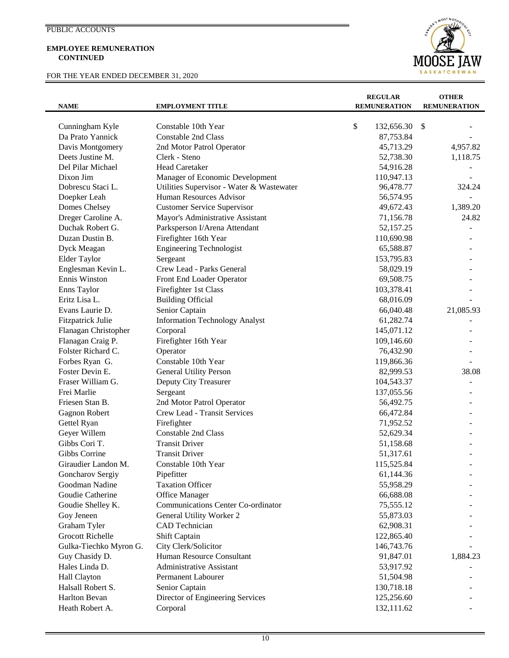#### **EMPLOYEE REMUNERATION CONTINUED**

## FOR THE YEAR ENDED DECEMBER 31, 2020



| <b>NAME</b>             | <b>EMPLOYMENT TITLE</b>                   | <b>REGULAR</b><br><b>REMUNERATION</b> | <b>OTHER</b><br><b>REMUNERATION</b> |
|-------------------------|-------------------------------------------|---------------------------------------|-------------------------------------|
| Cunningham Kyle         | Constable 10th Year                       | \$<br>132,656.30                      | $\mathcal{S}$                       |
| Da Prato Yannick        | <b>Constable 2nd Class</b>                | 87,753.84                             |                                     |
| Davis Montgomery        | 2nd Motor Patrol Operator                 | 45,713.29                             | 4,957.82                            |
| Deets Justine M.        | Clerk - Steno                             | 52,738.30                             | 1,118.75                            |
| Del Pilar Michael       | <b>Head Caretaker</b>                     | 54,916.28                             |                                     |
| Dixon Jim               | Manager of Economic Development           | 110,947.13                            |                                     |
| Dobrescu Staci L.       | Utilities Supervisor - Water & Wastewater | 96,478.77                             | 324.24                              |
| Doepker Leah            | Human Resources Advisor                   | 56,574.95                             |                                     |
| Domes Chelsey           | <b>Customer Service Supervisor</b>        | 49,672.43                             | 1,389.20                            |
| Dreger Caroline A.      | Mayor's Administrative Assistant          | 71,156.78                             | 24.82                               |
| Duchak Robert G.        | Parksperson I/Arena Attendant             | 52,157.25                             |                                     |
| Duzan Dustin B.         | Firefighter 16th Year                     | 110,690.98                            |                                     |
| Dyck Meagan             | <b>Engineering Technologist</b>           | 65,588.87                             |                                     |
| Elder Taylor            | Sergeant                                  | 153,795.83                            |                                     |
| Englesman Kevin L.      | Crew Lead - Parks General                 | 58,029.19                             |                                     |
| Ennis Winston           | Front End Loader Operator                 | 69,508.75                             |                                     |
| Enns Taylor             | Firefighter 1st Class                     | 103,378.41                            |                                     |
| Eritz Lisa L.           | <b>Building Official</b>                  | 68,016.09                             |                                     |
| Evans Laurie D.         | Senior Captain                            | 66,040.48                             | 21,085.93                           |
| Fitzpatrick Julie       | <b>Information Technology Analyst</b>     | 61,282.74                             |                                     |
| Flanagan Christopher    | Corporal                                  | 145,071.12                            |                                     |
| Flanagan Craig P.       | Firefighter 16th Year                     | 109,146.60                            |                                     |
| Folster Richard C.      | Operator                                  | 76,432.90                             |                                     |
| Forbes Ryan G.          | Constable 10th Year                       | 119,866.36                            |                                     |
| Foster Devin E.         | <b>General Utility Person</b>             | 82,999.53                             | 38.08                               |
| Fraser William G.       | Deputy City Treasurer                     | 104,543.37                            |                                     |
| Frei Marlie             | Sergeant                                  | 137,055.56                            |                                     |
| Friesen Stan B.         | 2nd Motor Patrol Operator                 | 56,492.75                             |                                     |
| Gagnon Robert           | Crew Lead - Transit Services              | 66,472.84                             |                                     |
| Gettel Ryan             | Firefighter                               | 71,952.52                             |                                     |
| Geyer Willem            | <b>Constable 2nd Class</b>                | 52,629.34                             |                                     |
| Gibbs Cori T.           | <b>Transit Driver</b>                     | 51,158.68                             |                                     |
| Gibbs Corrine           | <b>Transit Driver</b>                     | 51,317.61                             |                                     |
| Giraudier Landon M.     | Constable 10th Year                       | 115,525.84                            |                                     |
| Goncharov Sergiy        | Pipefitter                                | 61,144.36                             |                                     |
| Goodman Nadine          | <b>Taxation Officer</b>                   | 55,958.29                             |                                     |
| Goudie Catherine        | <b>Office Manager</b>                     | 66,688.08                             |                                     |
| Goudie Shelley K.       | <b>Communications Center Co-ordinator</b> | 75,555.12                             |                                     |
| Goy Jeneen              | General Utility Worker 2                  | 55,873.03                             |                                     |
| Graham Tyler            | CAD Technician                            | 62,908.31                             |                                     |
| <b>Grocott Richelle</b> | Shift Captain                             | 122,865.40                            |                                     |
| Gulka-Tiechko Myron G.  | City Clerk/Solicitor                      | 146,743.76                            |                                     |
| Guy Chasidy D.          | Human Resource Consultant                 | 91,847.01                             | 1,884.23                            |
| Hales Linda D.          | <b>Administrative Assistant</b>           | 53,917.92                             |                                     |
| Hall Clayton            | <b>Permanent Labourer</b>                 | 51,504.98                             |                                     |
| Halsall Robert S.       | Senior Captain                            | 130,718.18                            |                                     |
| Harlton Bevan           | Director of Engineering Services          | 125,256.60                            |                                     |
| Heath Robert A.         | Corporal                                  | 132,111.62                            |                                     |
|                         |                                           |                                       |                                     |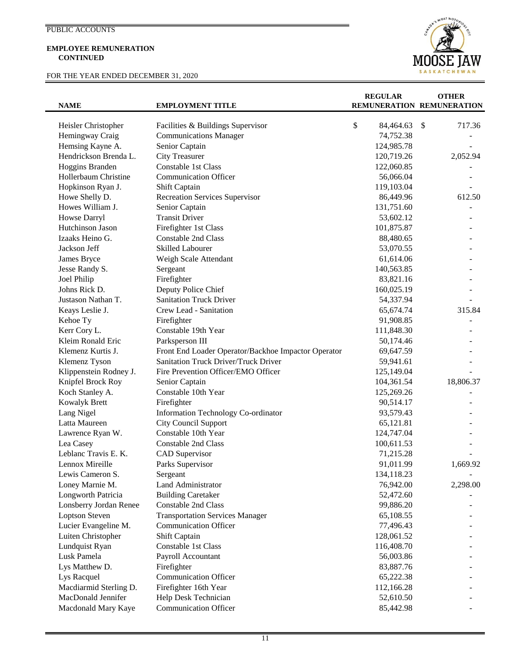#### **EMPLOYEE REMUNERATION CONTINUED**

FOR THE YEAR ENDED DECEMBER 31, 2020



| <b>NAME</b>            | <b>EMPLOYMENT TITLE</b>                             | <b>REGULAR</b>  | <b>OTHER</b><br>REMUNERATION REMUNERATION |
|------------------------|-----------------------------------------------------|-----------------|-------------------------------------------|
| Heisler Christopher    | Facilities & Buildings Supervisor                   | \$<br>84,464.63 | \$<br>717.36                              |
| Hemingway Craig        | <b>Communications Manager</b>                       | 74,752.38       |                                           |
| Hemsing Kayne A.       | Senior Captain                                      | 124,985.78      |                                           |
| Hendrickson Brenda L.  | <b>City Treasurer</b>                               | 120,719.26      | 2,052.94                                  |
| Hoggins Branden        | Constable 1st Class                                 | 122,060.85      |                                           |
| Hollerbaum Christine   | <b>Communication Officer</b>                        | 56,066.04       |                                           |
| Hopkinson Ryan J.      | Shift Captain                                       | 119,103.04      |                                           |
| Howe Shelly D.         | <b>Recreation Services Supervisor</b>               | 86,449.96       | 612.50                                    |
| Howes William J.       | Senior Captain                                      | 131,751.60      |                                           |
| Howse Darryl           | <b>Transit Driver</b>                               | 53,602.12       |                                           |
| Hutchinson Jason       | Firefighter 1st Class                               | 101,875.87      |                                           |
| Izaaks Heino G.        | <b>Constable 2nd Class</b>                          | 88,480.65       |                                           |
| Jackson Jeff           | <b>Skilled Labourer</b>                             | 53,070.55       |                                           |
| James Bryce            | Weigh Scale Attendant                               | 61,614.06       |                                           |
| Jesse Randy S.         | Sergeant                                            | 140,563.85      |                                           |
| Joel Philip            | Firefighter                                         | 83,821.16       |                                           |
| Johns Rick D.          | Deputy Police Chief                                 | 160,025.19      |                                           |
| Justason Nathan T.     | <b>Sanitation Truck Driver</b>                      | 54,337.94       |                                           |
| Keays Leslie J.        | Crew Lead - Sanitation                              | 65,674.74       | 315.84                                    |
| Kehoe Ty               | Firefighter                                         | 91,908.85       |                                           |
| Kerr Cory L.           | Constable 19th Year                                 | 111,848.30      |                                           |
| Kleim Ronald Eric      | Parksperson III                                     | 50,174.46       |                                           |
| Klemenz Kurtis J.      | Front End Loader Operator/Backhoe Impactor Operator | 69,647.59       |                                           |
| Klemenz Tyson          | Sanitation Truck Driver/Truck Driver                | 59,941.61       |                                           |
| Klippenstein Rodney J. | Fire Prevention Officer/EMO Officer                 | 125,149.04      |                                           |
| Knipfel Brock Roy      | Senior Captain                                      | 104,361.54      | 18,806.37                                 |
| Koch Stanley A.        | Constable 10th Year                                 | 125,269.26      |                                           |
| Kowalyk Brett          | Firefighter                                         | 90,514.17       |                                           |
| Lang Nigel             | Information Technology Co-ordinator                 | 93,579.43       |                                           |
| Latta Maureen          | <b>City Council Support</b>                         | 65,121.81       |                                           |
| Lawrence Ryan W.       | Constable 10th Year                                 | 124,747.04      |                                           |
| Lea Casey              | Constable 2nd Class                                 | 100,611.53      |                                           |
| Leblanc Travis E. K.   | <b>CAD</b> Supervisor                               | 71,215.28       |                                           |
| Lennox Mireille        | Parks Supervisor                                    | 91,011.99       | 1,669.92                                  |
| Lewis Cameron S.       | Sergeant                                            | 134,118.23      |                                           |
| Loney Marnie M.        | <b>Land Administrator</b>                           | 76,942.00       | 2,298.00                                  |
| Longworth Patricia     | <b>Building Caretaker</b>                           | 52,472.60       |                                           |
| Lonsberry Jordan Renee | Constable 2nd Class                                 | 99,886.20       |                                           |
| <b>Loptson Steven</b>  | <b>Transportation Services Manager</b>              | 65,108.55       |                                           |
| Lucier Evangeline M.   | <b>Communication Officer</b>                        | 77,496.43       |                                           |
| Luiten Christopher     | Shift Captain                                       | 128,061.52      |                                           |
| Lundquist Ryan         | Constable 1st Class                                 | 116,408.70      |                                           |
| Lusk Pamela            | Payroll Accountant                                  | 56,003.86       |                                           |
| Lys Matthew D.         | Firefighter                                         | 83,887.76       |                                           |
| Lys Racquel            | <b>Communication Officer</b>                        | 65,222.38       |                                           |
| Macdiarmid Sterling D. | Firefighter 16th Year                               | 112,166.28      |                                           |
| MacDonald Jennifer     | Help Desk Technician                                | 52,610.50       |                                           |
| Macdonald Mary Kaye    | <b>Communication Officer</b>                        | 85,442.98       |                                           |

11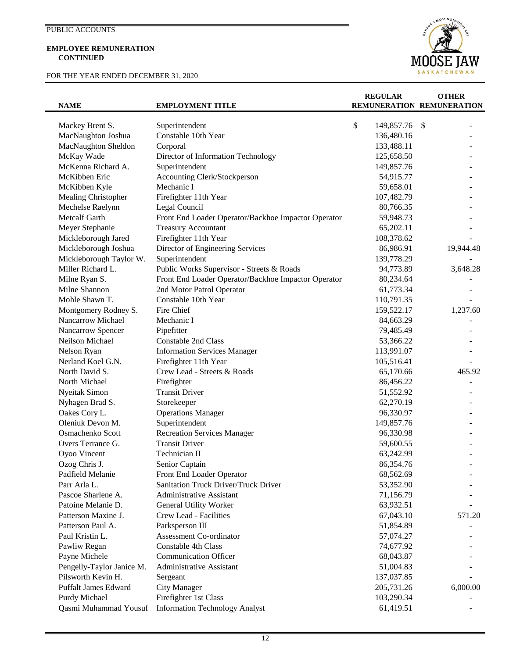#### **EMPLOYEE REMUNERATION CONTINUED**

FOR THE YEAR ENDED DECEMBER 31, 2020



| <b>NAME</b>                 | <b>EMPLOYMENT TITLE</b>                             | <b>REGULAR</b>   | <b>OTHER</b><br>REMUNERATION REMUNERATION |
|-----------------------------|-----------------------------------------------------|------------------|-------------------------------------------|
|                             |                                                     |                  |                                           |
| Mackey Brent S.             | Superintendent                                      | \$<br>149,857.76 | -S                                        |
| MacNaughton Joshua          | Constable 10th Year                                 | 136,480.16       |                                           |
| MacNaughton Sheldon         | Corporal                                            | 133,488.11       |                                           |
| McKay Wade                  | Director of Information Technology                  | 125,658.50       |                                           |
| McKenna Richard A.          | Superintendent                                      | 149,857.76       |                                           |
| McKibben Eric               | Accounting Clerk/Stockperson                        | 54,915.77        |                                           |
| McKibben Kyle               | Mechanic I                                          | 59,658.01        |                                           |
| Mealing Christopher         | Firefighter 11th Year                               | 107,482.79       |                                           |
| Mechelse Raelynn            | Legal Council                                       | 80,766.35        |                                           |
| Metcalf Garth               | Front End Loader Operator/Backhoe Impactor Operator | 59,948.73        |                                           |
| Meyer Stephanie             | <b>Treasury Accountant</b>                          | 65,202.11        |                                           |
| Mickleborough Jared         | Firefighter 11th Year                               | 108,378.62       |                                           |
| Mickleborough Joshua        | Director of Engineering Services                    | 86,986.91        | 19,944.48                                 |
| Mickleborough Taylor W.     | Superintendent                                      | 139,778.29       |                                           |
| Miller Richard L.           | Public Works Supervisor - Streets & Roads           | 94,773.89        | 3,648.28                                  |
| Milne Ryan S.               | Front End Loader Operator/Backhoe Impactor Operator | 80,234.64        |                                           |
| Milne Shannon               | 2nd Motor Patrol Operator                           | 61,773.34        |                                           |
| Mohle Shawn T.              | Constable 10th Year                                 | 110,791.35       |                                           |
| Montgomery Rodney S.        | Fire Chief                                          | 159,522.17       | 1,237.60                                  |
| Nancarrow Michael           | Mechanic I                                          | 84,663.29        |                                           |
| Nancarrow Spencer           | Pipefitter                                          | 79,485.49        |                                           |
| Neilson Michael             | Constable 2nd Class                                 | 53,366.22        |                                           |
| Nelson Ryan                 | <b>Information Services Manager</b>                 | 113,991.07       |                                           |
| Nerland Koel G.N.           | Firefighter 11th Year                               | 105,516.41       |                                           |
| North David S.              | Crew Lead - Streets & Roads                         | 65,170.66        | 465.92                                    |
| North Michael               | Firefighter                                         | 86,456.22        |                                           |
| Nyeitak Simon               | <b>Transit Driver</b>                               | 51,552.92        |                                           |
| Nyhagen Brad S.             | Storekeeper                                         | 62,270.19        |                                           |
| Oakes Cory L.               | <b>Operations Manager</b>                           | 96,330.97        |                                           |
| Oleniuk Devon M.            | Superintendent                                      | 149,857.76       |                                           |
| Osmachenko Scott            | <b>Recreation Services Manager</b>                  | 96,330.98        |                                           |
| Overs Terrance G.           | <b>Transit Driver</b>                               | 59,600.55        |                                           |
|                             | Technician II                                       |                  |                                           |
| Oyoo Vincent                |                                                     | 63,242.99        |                                           |
| Ozog Chris J.               | Senior Captain                                      | 86,354.76        |                                           |
| Padfield Melanie            | Front End Loader Operator                           | 68,562.69        |                                           |
| Parr Arla L.                | Sanitation Truck Driver/Truck Driver                | 53,352.90        |                                           |
| Pascoe Sharlene A.          | <b>Administrative Assistant</b>                     | 71,156.79        |                                           |
| Patoine Melanie D.          | General Utility Worker                              | 63,932.51        |                                           |
| Patterson Maxine J.         | Crew Lead - Facilities                              | 67,043.10        | 571.20                                    |
| Patterson Paul A.           | Parksperson III                                     | 51,854.89        |                                           |
| Paul Kristin L.             | Assessment Co-ordinator                             | 57,074.27        |                                           |
| Pawliw Regan                | <b>Constable 4th Class</b>                          | 74,677.92        |                                           |
| Payne Michele               | <b>Communication Officer</b>                        | 68,043.87        |                                           |
| Pengelly-Taylor Janice M.   | <b>Administrative Assistant</b>                     | 51,004.83        |                                           |
| Pilsworth Kevin H.          | Sergeant                                            | 137,037.85       |                                           |
| <b>Puffalt James Edward</b> | <b>City Manager</b>                                 | 205,731.26       | 6,000.00                                  |
| Purdy Michael               | Firefighter 1st Class                               | 103,290.34       |                                           |
| Qasmi Muhammad Yousuf       | <b>Information Technology Analyst</b>               | 61,419.51        |                                           |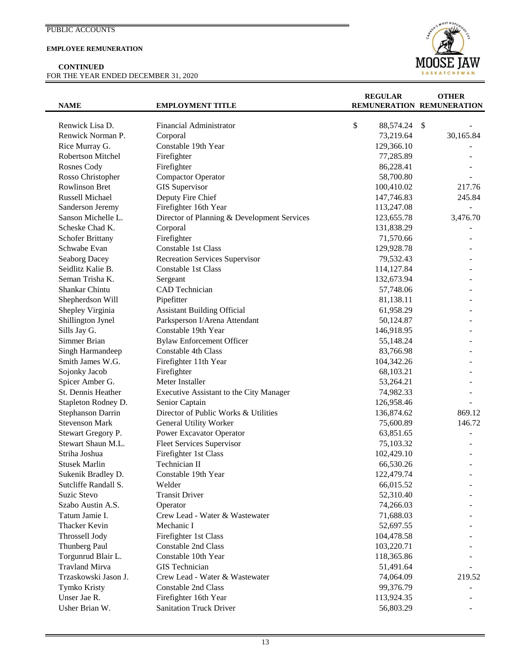### **EMPLOYEE REMUNERATION**

**CONTINUED** FOR THE YEAR ENDED DECEMBER 31, 2020



| <b>NAME</b>             | <b>EMPLOYMENT TITLE</b>                     | <b>REGULAR</b><br>REMUNERATION REMUNERATION | <b>OTHER</b> |
|-------------------------|---------------------------------------------|---------------------------------------------|--------------|
| Renwick Lisa D.         | Financial Administrator                     | \$<br>88,574.24                             | \$           |
| Renwick Norman P.       | Corporal                                    | 73,219.64                                   | 30,165.84    |
| Rice Murray G.          | Constable 19th Year                         | 129,366.10                                  |              |
| Robertson Mitchel       | Firefighter                                 | 77,285.89                                   |              |
| Rosnes Cody             | Firefighter                                 | 86,228.41                                   |              |
| Rosso Christopher       | <b>Compactor Operator</b>                   | 58,700.80                                   |              |
| <b>Rowlinson Bret</b>   | <b>GIS</b> Supervisor                       | 100,410.02                                  | 217.76       |
| Russell Michael         | Deputy Fire Chief                           | 147,746.83                                  | 245.84       |
| Sanderson Jeremy        | Firefighter 16th Year                       | 113,247.08                                  |              |
| Sanson Michelle L.      | Director of Planning & Development Services | 123,655.78                                  | 3,476.70     |
| Scheske Chad K.         | Corporal                                    | 131,838.29                                  |              |
| <b>Schofer Brittany</b> | Firefighter                                 | 71,570.66                                   |              |
| Schwabe Evan            | Constable 1st Class                         | 129,928.78                                  |              |
| Seaborg Dacey           | <b>Recreation Services Supervisor</b>       | 79,532.43                                   |              |
| Seidlitz Kalie B.       | Constable 1st Class                         | 114,127.84                                  |              |
| Seman Trisha K.         | Sergeant                                    | 132,673.94                                  |              |
| Shankar Chintu          | CAD Technician                              | 57,748.06                                   |              |
| Shepherdson Will        | Pipefitter                                  | 81,138.11                                   |              |
| Shepley Virginia        | <b>Assistant Building Official</b>          | 61,958.29                                   |              |
| Shillington Jynel       | Parksperson I/Arena Attendant               | 50,124.87                                   |              |
| Sills Jay G.            | Constable 19th Year                         | 146,918.95                                  |              |
| Simmer Brian            | <b>Bylaw Enforcement Officer</b>            | 55,148.24                                   |              |
| Singh Harmandeep        | Constable 4th Class                         | 83,766.98                                   |              |
| Smith James W.G.        | Firefighter 11th Year                       | 104,342.26                                  |              |
| Sojonky Jacob           | Firefighter                                 | 68,103.21                                   |              |
| Spicer Amber G.         | Meter Installer                             | 53,264.21                                   |              |
| St. Dennis Heather      | Executive Assistant to the City Manager     | 74,982.33                                   |              |
| Stapleton Rodney D.     | Senior Captain                              | 126,958.46                                  |              |
| Stephanson Darrin       | Director of Public Works & Utilities        | 136,874.62                                  | 869.12       |
| <b>Stevenson Mark</b>   | <b>General Utility Worker</b>               | 75,600.89                                   | 146.72       |
| Stewart Gregory P.      | Power Excavator Operator                    | 63,851.65                                   |              |
| Stewart Shaun M.L.      | <b>Fleet Services Supervisor</b>            | 75,103.32                                   |              |
| Striha Joshua           | Firefighter 1st Class                       | 102,429.10                                  |              |
| <b>Stusek Marlin</b>    | Technician II                               | 66,530.26                                   |              |
| Sukenik Bradley D.      | Constable 19th Year                         | 122,479.74                                  |              |
| Sutcliffe Randall S.    | Welder                                      | 66,015.52                                   |              |
| Suzic Stevo             | <b>Transit Driver</b>                       | 52,310.40                                   |              |
| Szabo Austin A.S.       | Operator                                    | 74,266.03                                   |              |
| Tatum Jamie I.          | Crew Lead - Water & Wastewater              | 71,688.03                                   |              |
| Thacker Kevin           | Mechanic I                                  | 52,697.55                                   |              |
| Throssell Jody          | Firefighter 1st Class                       | 104,478.58                                  |              |
| Thunberg Paul           | <b>Constable 2nd Class</b>                  | 103,220.71                                  |              |
| Torgunrud Blair L.      | Constable 10th Year                         | 118,365.86                                  |              |
| <b>Travland Mirva</b>   | <b>GIS</b> Technician                       | 51,491.64                                   |              |
| Trzaskowski Jason J.    | Crew Lead - Water & Wastewater              | 74,064.09                                   | 219.52       |
| Tymko Kristy            | <b>Constable 2nd Class</b>                  | 99,376.79                                   |              |
| Unser Jae R.            | Firefighter 16th Year                       | 113,924.35                                  |              |
| Usher Brian W.          | <b>Sanitation Truck Driver</b>              | 56,803.29                                   |              |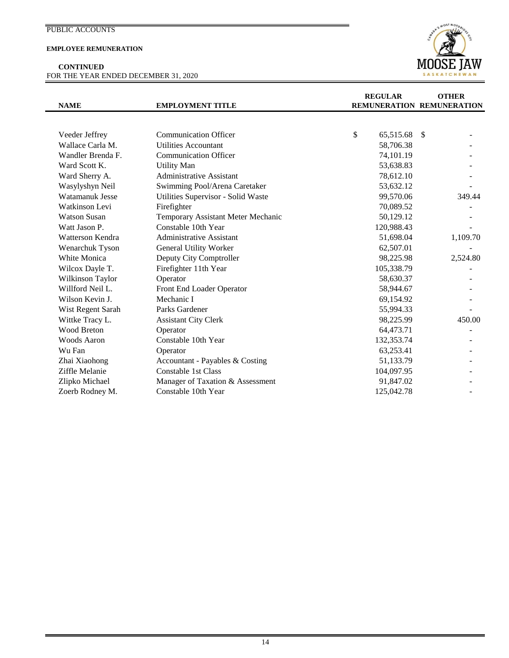### **EMPLOYEE REMUNERATION**

**CONTINUED** FOR THE YEAR ENDED DECEMBER 31, 2020



|                     |                                    | <b>REGULAR</b>            |               | <b>OTHER</b> |
|---------------------|------------------------------------|---------------------------|---------------|--------------|
| <b>NAME</b>         | <b>EMPLOYMENT TITLE</b>            | REMUNERATION REMUNERATION |               |              |
|                     |                                    |                           |               |              |
| Veeder Jeffrey      | <b>Communication Officer</b>       | \$<br>65,515.68           | <sup>\$</sup> |              |
| Wallace Carla M.    | <b>Utilities Accountant</b>        | 58,706.38                 |               |              |
| Wandler Brenda F.   | <b>Communication Officer</b>       | 74,101.19                 |               |              |
| Ward Scott K.       | <b>Utility Man</b>                 | 53,638.83                 |               |              |
| Ward Sherry A.      | Administrative Assistant           | 78,612.10                 |               |              |
| Wasylyshyn Neil     | Swimming Pool/Arena Caretaker      | 53,632.12                 |               |              |
| Watamanuk Jesse     | Utilities Supervisor - Solid Waste | 99,570.06                 |               | 349.44       |
| Watkinson Levi      | Firefighter                        | 70,089.52                 |               |              |
| <b>Watson Susan</b> | Temporary Assistant Meter Mechanic | 50,129.12                 |               |              |
| Watt Jason P.       | Constable 10th Year                | 120,988.43                |               |              |
| Watterson Kendra    | <b>Administrative Assistant</b>    | 51,698.04                 |               | 1,109.70     |
| Wenarchuk Tyson     | <b>General Utility Worker</b>      | 62,507.01                 |               |              |
| White Monica        | Deputy City Comptroller            | 98,225.98                 |               | 2,524.80     |
| Wilcox Dayle T.     | Firefighter 11th Year              | 105,338.79                |               |              |
| Wilkinson Taylor    | Operator                           | 58,630.37                 |               |              |
| Willford Neil L.    | Front End Loader Operator          | 58,944.67                 |               |              |
| Wilson Kevin J.     | Mechanic I                         | 69,154.92                 |               |              |
| Wist Regent Sarah   | Parks Gardener                     | 55,994.33                 |               |              |
| Wittke Tracy L.     | <b>Assistant City Clerk</b>        | 98,225.99                 |               | 450.00       |
| <b>Wood Breton</b>  | Operator                           | 64,473.71                 |               |              |
| Woods Aaron         | Constable 10th Year                | 132,353.74                |               |              |
| Wu Fan              | Operator                           | 63,253.41                 |               |              |
| Zhai Xiaohong       | Accountant - Payables & Costing    | 51,133.79                 |               |              |
| Ziffle Melanie      | Constable 1st Class                | 104,097.95                |               |              |
| Zlipko Michael      | Manager of Taxation & Assessment   | 91,847.02                 |               |              |
| Zoerb Rodney M.     | Constable 10th Year                | 125,042.78                |               |              |
|                     |                                    |                           |               |              |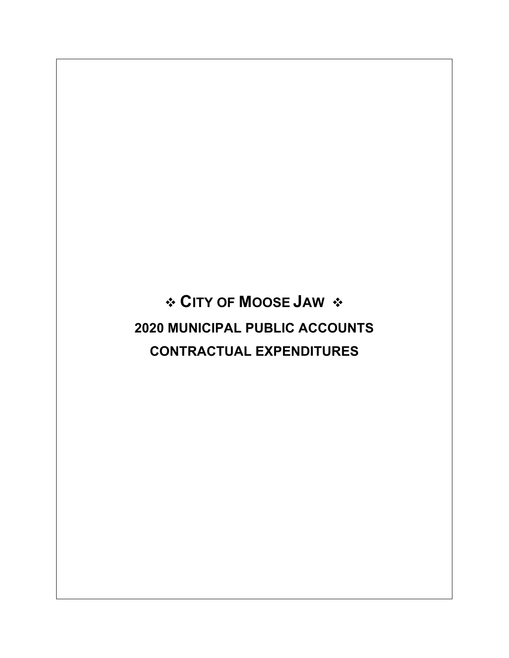**CITY OF MOOSE JAW 2020 MUNICIPAL PUBLIC ACCOUNTS CONTRACTUAL EXPENDITURES**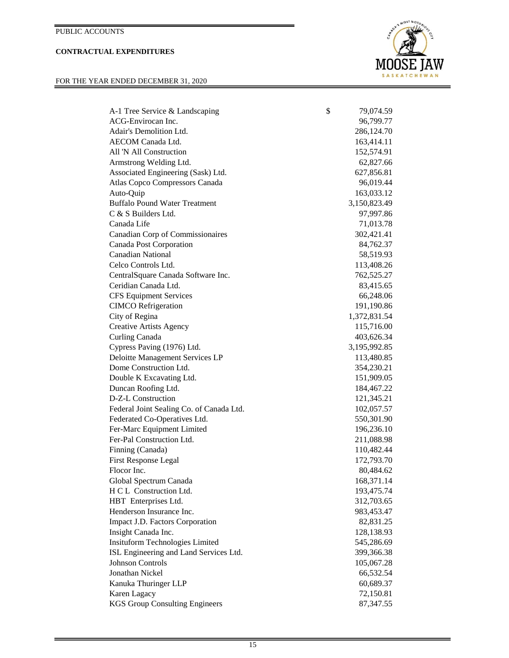## **CONTRACTUAL EXPENDITURES**

### FOR THE YEAR ENDED DECEMBER 31, 2020



| A-1 Tree Service & Landscaping           | \$<br>79,074.59 |
|------------------------------------------|-----------------|
| ACG-Envirocan Inc.                       | 96,799.77       |
| Adair's Demolition Ltd.                  | 286, 124. 70    |
| AECOM Canada Ltd.                        | 163,414.11      |
| All 'N All Construction                  | 152,574.91      |
| Armstrong Welding Ltd.                   | 62,827.66       |
| Associated Engineering (Sask) Ltd.       | 627,856.81      |
| Atlas Copco Compressors Canada           | 96,019.44       |
| Auto-Quip                                | 163,033.12      |
| <b>Buffalo Pound Water Treatment</b>     | 3,150,823.49    |
| C & S Builders Ltd.                      | 97,997.86       |
| Canada Life                              | 71,013.78       |
| Canadian Corp of Commissionaires         | 302,421.41      |
| Canada Post Corporation                  | 84,762.37       |
| <b>Canadian National</b>                 | 58,519.93       |
| Celco Controls Ltd.                      | 113,408.26      |
| CentralSquare Canada Software Inc.       | 762,525.27      |
| Ceridian Canada Ltd.                     | 83,415.65       |
| <b>CFS Equipment Services</b>            | 66,248.06       |
| <b>CIMCO</b> Refrigeration               | 191,190.86      |
| City of Regina                           | 1,372,831.54    |
| <b>Creative Artists Agency</b>           | 115,716.00      |
| Curling Canada                           | 403,626.34      |
| Cypress Paving (1976) Ltd.               | 3,195,992.85    |
| Deloitte Management Services LP          | 113,480.85      |
| Dome Construction Ltd.                   | 354,230.21      |
| Double K Excavating Ltd.                 | 151,909.05      |
| Duncan Roofing Ltd.                      | 184,467.22      |
| D-Z-L Construction                       | 121,345.21      |
| Federal Joint Sealing Co. of Canada Ltd. | 102,057.57      |
| Federated Co-Operatives Ltd.             | 550,301.90      |
| Fer-Marc Equipment Limited               | 196,236.10      |
| Fer-Pal Construction Ltd.                | 211,088.98      |
| Finning (Canada)                         | 110,482.44      |
| <b>First Response Legal</b>              | 172,793.70      |
| Flocor Inc.                              | 80,484.62       |
| Global Spectrum Canada                   | 168,371.14      |
| H C L Construction Ltd.                  | 193,475.74      |
| HBT Enterprises Ltd.                     | 312,703.65      |
| Henderson Insurance Inc.                 | 983,453.47      |
| Impact J.D. Factors Corporation          | 82,831.25       |
| Insight Canada Inc.                      | 128,138.93      |
| <b>Insituform Technologies Limited</b>   | 545,286.69      |
| ISL Engineering and Land Services Ltd.   | 399,366.38      |
| <b>Johnson Controls</b>                  | 105,067.28      |
| Jonathan Nickel                          | 66,532.54       |
| Kanuka Thuringer LLP                     | 60,689.37       |
| Karen Lagacy                             | 72,150.81       |
| <b>KGS Group Consulting Engineers</b>    | 87,347.55       |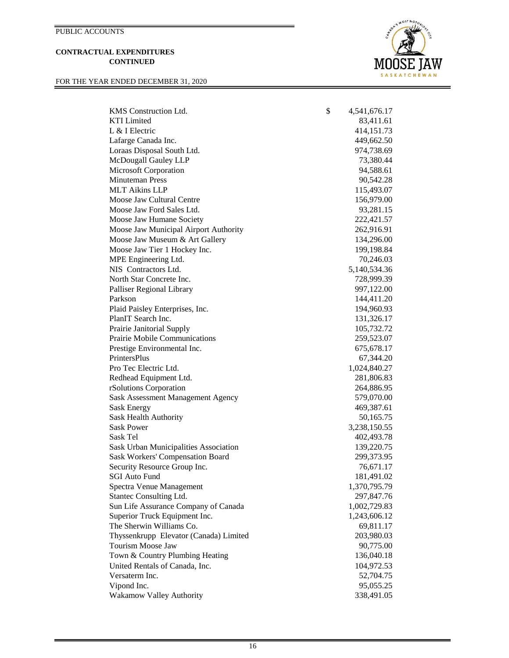#### **CONTRACTUAL EXPENDITURES CONTINUED**

FOR THE YEAR ENDED DECEMBER 31, 2020



| KMS Construction Ltd.                  | \$<br>4,541,676.17 |
|----------------------------------------|--------------------|
| <b>KTI</b> Limited                     | 83,411.61          |
| L & I Electric                         | 414,151.73         |
| Lafarge Canada Inc.                    | 449,662.50         |
| Loraas Disposal South Ltd.             | 974,738.69         |
| McDougall Gauley LLP                   | 73,380.44          |
| Microsoft Corporation                  | 94,588.61          |
| <b>Minuteman Press</b>                 | 90,542.28          |
| <b>MLT Aikins LLP</b>                  | 115,493.07         |
| Moose Jaw Cultural Centre              | 156,979.00         |
| Moose Jaw Ford Sales Ltd.              | 93,281.15          |
| Moose Jaw Humane Society               | 222,421.57         |
| Moose Jaw Municipal Airport Authority  | 262,916.91         |
| Moose Jaw Museum & Art Gallery         | 134,296.00         |
| Moose Jaw Tier 1 Hockey Inc.           | 199,198.84         |
| MPE Engineering Ltd.                   | 70,246.03          |
| NIS Contractors Ltd.                   | 5,140,534.36       |
| North Star Concrete Inc.               | 728,999.39         |
| Palliser Regional Library              | 997,122.00         |
| Parkson                                | 144,411.20         |
| Plaid Paisley Enterprises, Inc.        | 194,960.93         |
| PlanIT Search Inc.                     | 131,326.17         |
| Prairie Janitorial Supply              | 105,732.72         |
| Prairie Mobile Communications          | 259,523.07         |
| Prestige Environmental Inc.            | 675, 678. 17       |
| <b>PrintersPlus</b>                    | 67,344.20          |
| Pro Tec Electric Ltd.                  | 1,024,840.27       |
| Redhead Equipment Ltd.                 | 281,806.83         |
| rSolutions Corporation                 | 264,886.95         |
| Sask Assessment Management Agency      | 579,070.00         |
| Sask Energy                            | 469,387.61         |
| Sask Health Authority                  | 50,165.75          |
| <b>Sask Power</b>                      | 3,238,150.55       |
| Sask Tel                               | 402,493.78         |
| Sask Urban Municipalities Association  | 139,220.75         |
| Sask Workers' Compensation Board       | 299,373.95         |
| Security Resource Group Inc.           | 76,671.17          |
| <b>SGI Auto Fund</b>                   | 181,491.02         |
| Spectra Venue Management               | 1,370,795.79       |
| Stantec Consulting Ltd.                | 297,847.76         |
| Sun Life Assurance Company of Canada   | 1,002,729.83       |
| Superior Truck Equipment Inc.          | 1,243,606.12       |
| The Sherwin Williams Co.               |                    |
|                                        | 69,811.17          |
| Thyssenkrupp Elevator (Canada) Limited | 203,980.03         |
| Tourism Moose Jaw                      | 90,775.00          |
| Town & Country Plumbing Heating        | 136,040.18         |
| United Rentals of Canada, Inc.         | 104,972.53         |
| Versaterm Inc.                         | 52,704.75          |
| Vipond Inc.                            | 95,055.25          |
| Wakamow Valley Authority               | 338,491.05         |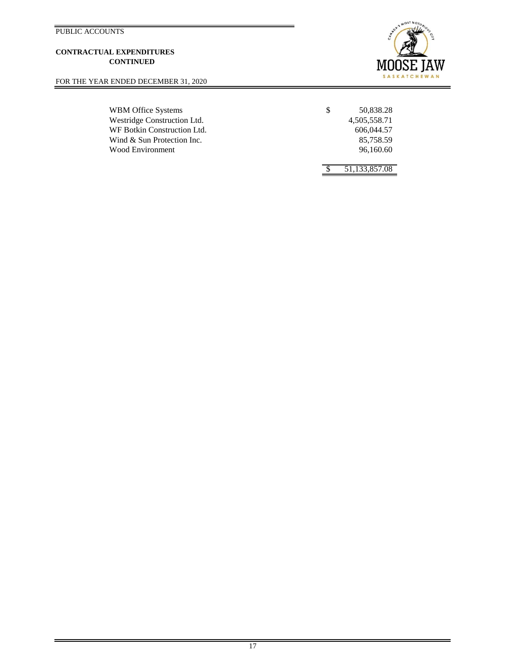#### **CONTRACTUAL EXPENDITURES CONTINUED**

FOR THE YEAR ENDED DECEMBER 31, 2020

WBM Office Systems \$ Westridge Construction Ltd. WF Botkin Construction Ltd. Wind & Sun Protection Inc. Wood Environment



| 50.838.28    |
|--------------|
| 4,505,558.71 |
| 606.044.57   |
| 85.758.59    |
| 96.160.60    |
|              |

\$ 51,133,857.08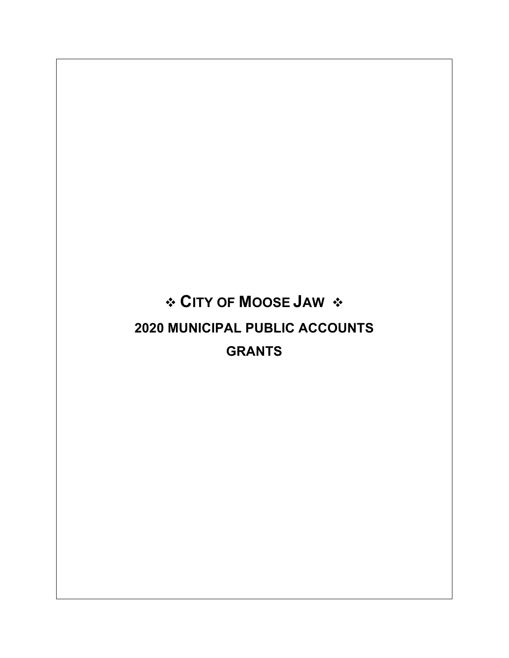# **CITY OF MOOSE JAW 2020 MUNICIPAL PUBLIC ACCOUNTS GRANTS**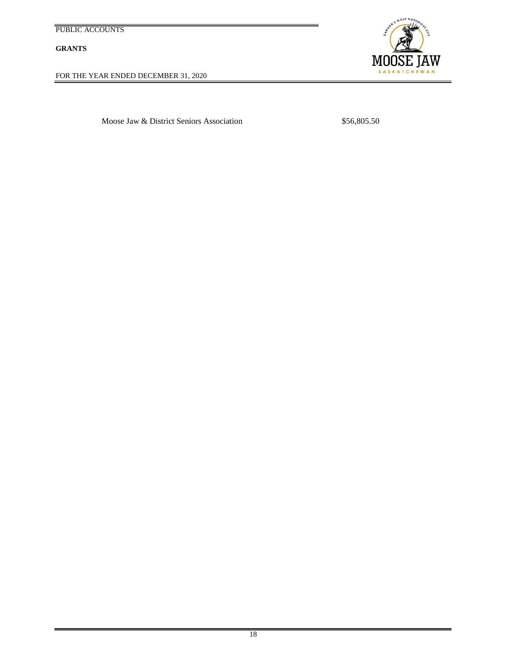**GRANTS**

FOR THE YEAR ENDED DECEMBER 31, 2020



Moose Jaw & District Seniors Association \$56,805.50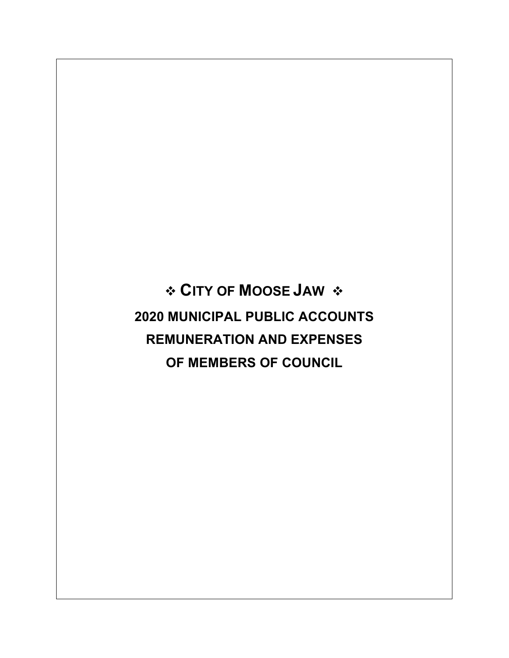**CITY OF MOOSE JAW 2020 MUNICIPAL PUBLIC ACCOUNTS REMUNERATION AND EXPENSES OF MEMBERS OF COUNCIL**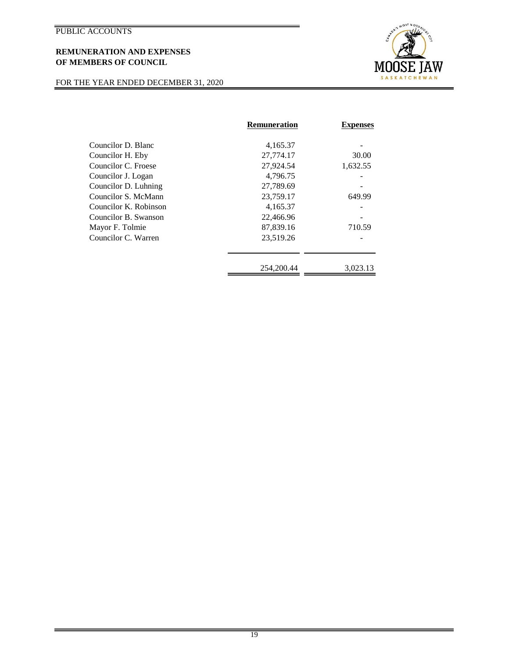## **REMUNERATION AND EXPENSES OF MEMBERS OF COUNCIL**

## FOR THE YEAR ENDED DECEMBER 31, 2020



|                       | <b>Remuneration</b> | <b>Expenses</b> |
|-----------------------|---------------------|-----------------|
| Councilor D. Blanc    | 4,165.37            |                 |
| Councilor H. Eby      | 27,774.17           | 30.00           |
| Councilor C. Froese   | 27,924.54           | 1,632.55        |
| Councilor J. Logan    | 4,796.75            |                 |
| Councilor D. Luhning  | 27,789.69           |                 |
| Councilor S. McMann   | 23,759.17           | 649.99          |
| Councilor K. Robinson | 4,165.37            |                 |
| Councilor B. Swanson  | 22,466.96           |                 |
| Mayor F. Tolmie       | 87,839.16           | 710.59          |
| Councilor C. Warren   | 23,519.26           |                 |
|                       | 254,200.44          | 3,023.13        |